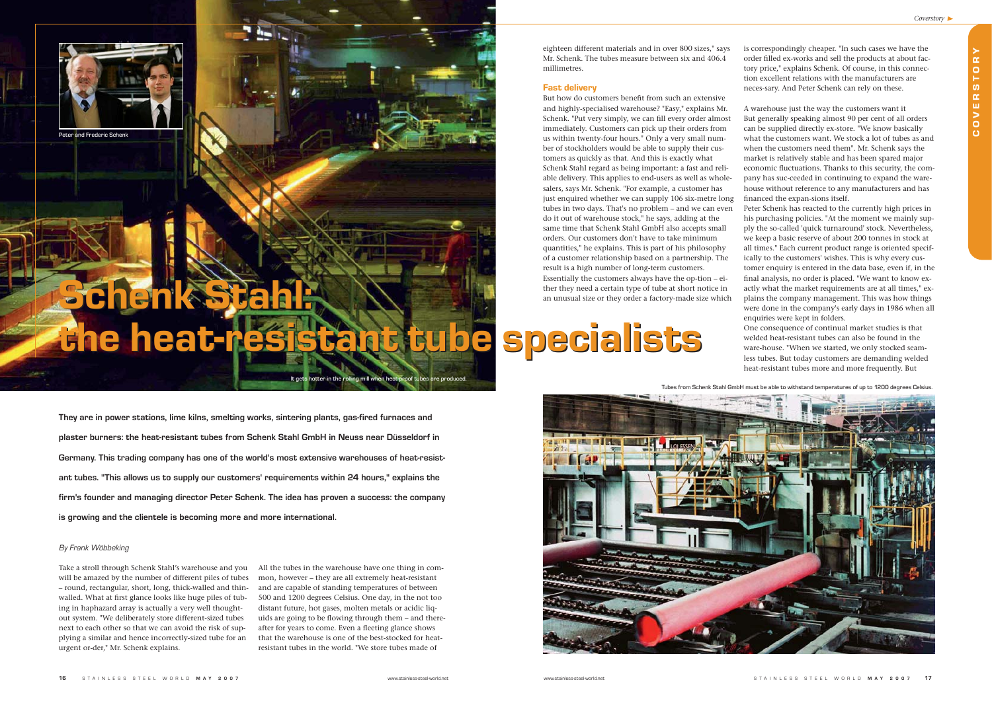

eighteen different materials and in over 800 sizes," says Mr. Schenk. The tubes measure between six and 406.4 millimetres.

### Fast delivery

But how do customers benefit from such an extensive and highly-specialised warehouse? "Easy," explains Mr. Schenk. "Put very simply, we can fill every order almost immediately. Customers can pick up their orders from us within twenty-four hours." Only a very small number of stockholders would be able to supply their customers as quickly as that. And this is exactly what Schenk Stahl regard as being important: a fast and reliable delivery. This applies to end-users as well as wholesalers, says Mr. Schenk. "For example, a customer has just enquired whether we can supply 106 six-metre long tubes in two days. That's no problem – and we can even do it out of warehouse stock," he says, adding at the same time that Schenk Stahl GmbH also accepts small orders. Our customers don't have to take minimum quantities," he explains. This is part of his philosophy of a customer relationship based on a partnership. The result is a high number of long-term customers. Essentially the customers always have the op-tion – either they need a certain type of tube at short notice in an unusual size or they order a factory-made size which

is correspondingly cheaper. "In such cases we have the order filled ex-works and sell the products at about factory price," explains Schenk. Of course, in this connection excellent relations with the manufacturers are neces-sary. And Peter Schenk can rely on these.

A warehouse just the way the customers want it But generally speaking almost 90 per cent of all orders can be supplied directly ex-store. "We know basically what the customers want. We stock a lot of tubes as and when the customers need them". Mr. Schenk says the market is relatively stable and has been spared major economic fluctuations. Thanks to this security, the company has suc-ceeded in continuing to expand the warehouse without reference to any manufacturers and has financed the expan-sions itself.

Peter Schenk has reacted to the currently high prices in his purchasing policies. "At the moment we mainly supply the so-called 'quick turnaround' stock. Nevertheless, we keep a basic reserve of about 200 tonnes in stock at all times." Each current product range is oriented specifically to the customers' wishes. This is why every customer enquiry is entered in the data base, even if, in the final analysis, no order is placed. "We want to know exactly what the market requirements are at all times," explains the company management. This was how things were done in the company's early days in 1986 when all enquiries were kept in folders.

One consequence of continual market studies is that welded heat-resistant tubes can also be found in the ware-house. "When we started, we only stocked seamless tubes. But today customers are demanding welded heat-resistant tubes more and more frequently. But

Take a stroll through Schenk Stahl's warehouse and you will be amazed by the number of different piles of tubes – round, rectangular, short, long, thick-walled and thinwalled. What at first glance looks like huge piles of tubing in haphazard array is actually a very well thoughtout system. "We deliberately store different-sized tubes next to each other so that we can avoid the risk of supplying a similar and hence incorrectly-sized tube for an urgent or-der," Mr. Schenk explains.

All the tubes in the warehouse have one thing in common, however – they are all extremely heat-resistant and are capable of standing temperatures of between 500 and 1200 degrees Celsius. One day, in the not too distant future, hot gases, molten metals or acidic liquids are going to be flowing through them – and thereafter for years to come. Even a fleeting glance shows that the warehouse is one of the best-stocked for heatresistant tubes in the world. "We store tubes made of

**They are in power stations, lime kilns, smelting works, sintering plants, gas-fired furnaces and plaster burners: the heat-resistant tubes from Schenk Stahl GmbH in Neuss near Düsseldorf in Germany. This trading company has one of the world's most extensive warehouses of heat-resistant tubes. "This allows us to supply our customers' requirements within 24 hours," explains the firm's founder and managing director Peter Schenk. The idea has proven a success: the company is growing and the clientele is becoming more and more international.** 

#### By Frank Wöbbeking

COVERSTORY

OVERSTO

 $\mathbf{C}$ 

 $\alpha$ 

# Schenk Stahl: Schenk Stahl: the heat-resistant tube specialists the heat-resistant tube specialists



Peter and Frederic Schenk

Tubes from Schenk Stahl GmbH must be able to withstand temperatures of up to 1200 degrees Celsius.



are produced